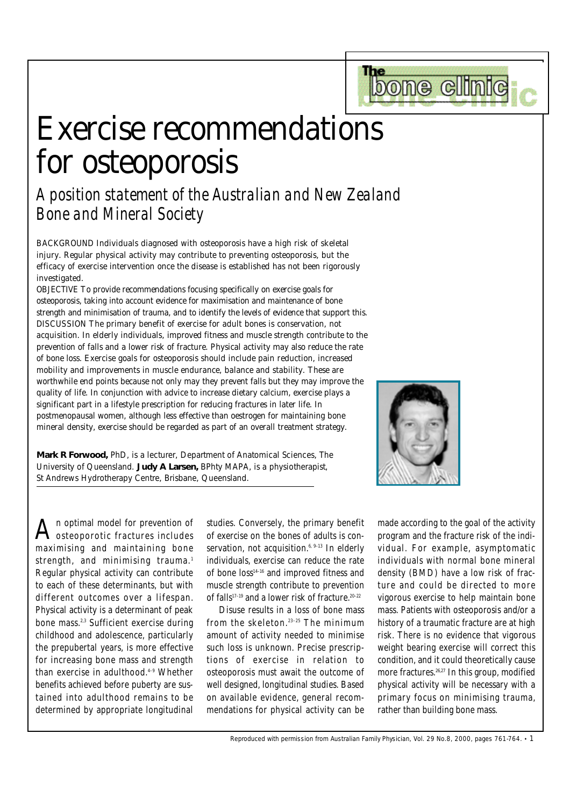# Exercise recommendations for osteoporosis

*A position statement of the Australian and New Zealand Bone and Mineral Society*

BACKGROUND Individuals diagnosed with osteoporosis have a high risk of skeletal injury. Regular physical activity may contribute to preventing osteoporosis, but the efficacy of exercise intervention once the disease is established has not been rigorously investigated.

OBJECTIVE To provide recommendations focusing specifically on exercise goals for osteoporosis, taking into account evidence for maximisation and maintenance of bone strength and minimisation of trauma, and to identify the levels of evidence that support this. DISCUSSION The primary benefit of exercise for adult bones is conservation, not acquisition. In elderly individuals, improved fitness and muscle strength contribute to the prevention of falls and a lower risk of fracture. Physical activity may also reduce the rate of bone loss. Exercise goals for osteoporosis should include pain reduction, increased mobility and improvements in muscle endurance, balance and stability. These are worthwhile end points because not only may they prevent falls but they may improve the quality of life. In conjunction with advice to increase dietary calcium, exercise plays a significant part in a lifestyle prescription for reducing fractures in later life. In postmenopausal women, although less effective than oestrogen for maintaining bone mineral density, exercise should be regarded as part of an overall treatment strategy.

**Mark R Forwood,** *PhD, is a lecturer, Department of Anatomical Sciences, The University of Queensland.* **Judy A Larsen,** *BPhty MAPA, is a physiotherapist, St Andrews Hydrotherapy Centre, Brisbane, Queensland.*

The

bone clin

 ${\bf A}$ n optimal model for prevention of  ${\bf A}$ osteoporotic fractures includes maximising and maintaining bone strength, and minimising trauma.<sup>1</sup> Regular physical activity can contribute to each of these determinants, but with different outcomes over a lifespan. Physical activity is a determinant of peak bone mass.2,3 Sufficient exercise during childhood and adolescence, particularly the prepubertal years, is more effective for increasing bone mass and strength than exercise in adulthood.4–9 Whether benefits achieved before puberty are sustained into adulthood remains to be determined by appropriate longitudinal

studies. Conversely, the primary benefit of exercise on the bones of adults is conservation, not acquisition.<sup>6, 9-13</sup> In elderly individuals, exercise can reduce the rate of bone loss<sup>14-16</sup> and improved fitness and muscle strength contribute to prevention of falls<sup>17-19</sup> and a lower risk of fracture.<sup>20-22</sup>

Disuse results in a loss of bone mass from the skeleton. 23–25 The minimum amount of activity needed to minimise such loss is unknown. Precise prescriptions of exercise in relation to osteoporosis must await the outcome of well designed, longitudinal studies. Based on available evidence, general recommendations for physical activity can be

made according to the goal of the activity program and the fracture risk of the individual. For example, asymptomatic individuals with normal bone mineral density (BMD) have a low risk of fracture and could be directed to more vigorous exercise to help maintain bone mass. Patients with osteoporosis and/or a history of a traumatic fracture are at high risk. There is no evidence that vigorous weight bearing exercise will correct this condition, and it could theoretically cause more fractures.<sup>26,27</sup> In this group, modified physical activity will be necessary with a primary focus on minimising trauma, rather than building bone mass.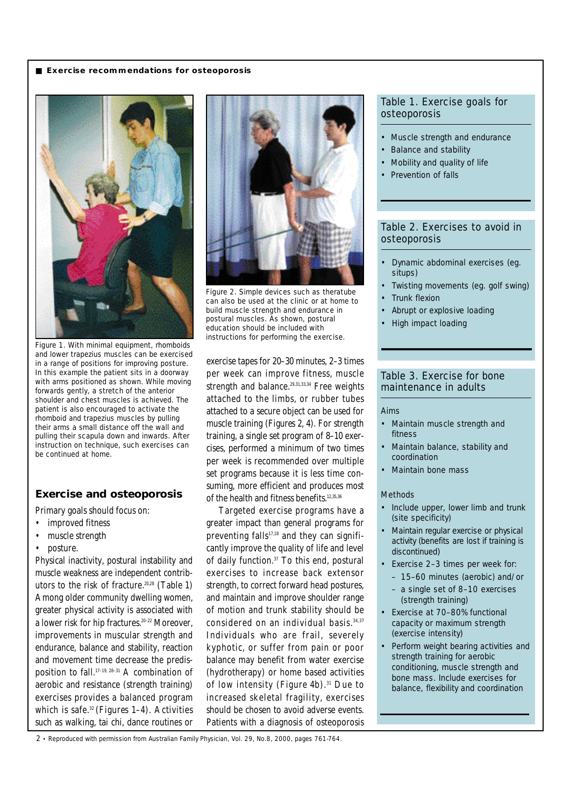## ■ **Exercise recommendations for osteoporosis**



Figure 1. With minimal equipment, rhomboids and lower trapezius muscles can be exercised in a range of positions for improving posture. In this example the patient sits in a doorway with arms positioned as shown. While moving forwards gently, a stretch of the anterior shoulder and chest muscles is achieved. The patient is also encouraged to activate the rhomboid and trapezius muscles by pulling their arms a small distance off the wall and pulling their scapula down and inwards. After instruction on technique, such exercises can be continued at home.

# **Exercise and osteoporosis**

Primary goals should focus on:

- improved fitness
- muscle strength
- posture.

Physical inactivity, postural instability and muscle weakness are independent contributors to the risk of fracture*.* 20,28 *(Table 1)* Among older community dwelling women, greater physical activity is associated with a lower risk for hip fractures.<sup>20-22</sup> Moreover, improvements in muscular strength and endurance, balance and stability, reaction and movement time decrease the predisposition to fall.17–19, 28–31 A combination of aerobic and resistance (strength training) exercises provides a balanced program which is safe.32 *(Figures 1–4).* Activities such as walking, tai chi, dance routines or



Figure 2. Simple devices such as theratube can also be used at the clinic or at home to build muscle strength and endurance in postural muscles. As shown, postural education should be included with instructions for performing the exercise.

exercise tapes for 20–30 minutes, 2–3 times per week can improve fitness, muscle strength and balance.<sup>29,31,33,34</sup> Free weights attached to the limbs, or rubber tubes attached to a secure object can be used for muscle training *(Figures 2, 4).* For strength training, a single set program of 8–10 exercises, performed a minimum of two times per week is recommended over multiple set programs because it is less time consuming, more efficient and produces most of the health and fitness benefits.<sup>12,35,36</sup>

Targeted exercise programs have a greater impact than general programs for preventing falls $17,18$  and they can significantly improve the quality of life and level of daily function.37 To this end, postural exercises to increase back extensor strength, to correct forward head postures, and maintain and improve shoulder range of motion and trunk stability should be considered on an individual basis. 34,37 Individuals who are frail, severely kyphotic, or suffer from pain or poor balance may benefit from water exercise (hydrotherapy) or home based activities of low intensity *(Figure 4b)*. <sup>31</sup> Due to increased skeletal fragility, exercises should be chosen to avoid adverse events. Patients with a diagnosis of osteoporosis

## Table 1. Exercise goals for osteoporosis

- Muscle strength and endurance
- Balance and stability
- Mobility and quality of life
- Prevention of falls

# Table 2. Exercises to avoid in osteoporosis

- Dynamic abdominal exercises (eg. situps)
- Twisting movements (eg. golf swing)
- Trunk flexion
- Abrupt or explosive loading
- High impact loading

## Table 3. Exercise for bone maintenance in adults

#### Aims

- Maintain muscle strength and fitness
- Maintain balance, stability and coordination
- Maintain bone mass

## Methods

- Include upper, lower limb and trunk (site specificity)
- Maintain regular exercise or physical activity (benefits are lost if training is discontinued)
- Exercise 2–3 times per week for:
	- 15–60 minutes (aerobic) and/or
	- a single set of 8–10 exercises (strength training)
- Exercise at 70–80% functional capacity or maximum strength (exercise intensity)
- Perform weight bearing activities and strength training for aerobic conditioning, muscle strength and bone mass. Include exercises for balance, flexibility and coordination

2 • Reproduced with permission from Australian Family Physician, Vol. 29, No.8, 2000, pages 761-764.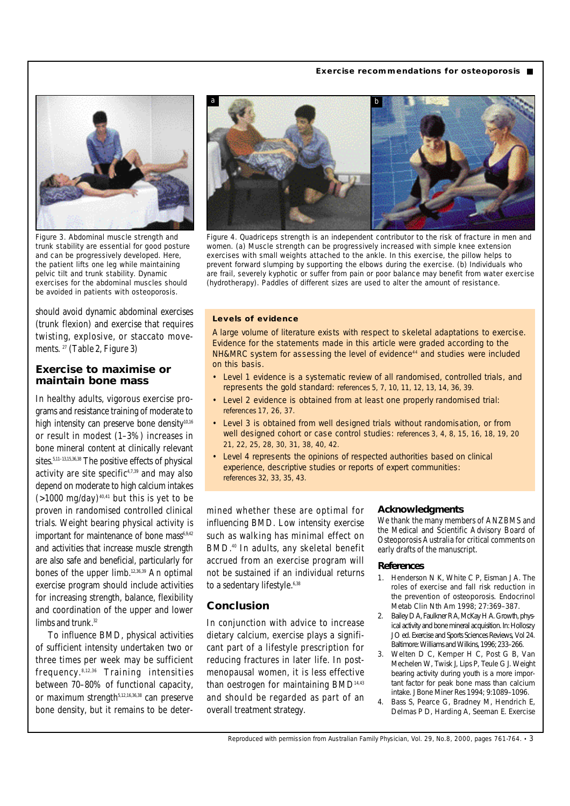## **Exercise recommendations for osteoporosis** ■



Figure 3. Abdominal muscle strength and trunk stability are essential for good posture and can be progressively developed. Here, the patient lifts one leg while maintaining pelvic tilt and trunk stability. Dynamic exercises for the abdominal muscles should be avoided in patients with osteoporosis.

should avoid dynamic abdominal exercises (trunk flexion) and exercise that requires twisting, explosive, or staccato movements. 27 *(Table 2, Figure 3)*

## **Exercise to maximise or maintain bone mass**

In healthy adults, vigorous exercise programs and resistance training of moderate to high intensity can preserve bone density<sup>10,16</sup> or result in modest (1–3%) increases in bone mineral content at clinically relevant sites.<sup>5,11-13,15,36,38</sup> The positive effects of physical activity are site specific $4,7,39$  and may also depend on moderate to high calcium intakes  $(>1000 \text{ mg/day})$ <sup>40,41</sup> but this is yet to be proven in randomised controlled clinical trials. Weight bearing physical activity is important for maintenance of bone mass $6.9,42$ and activities that increase muscle strength are also safe and beneficial, particularly for bones of the upper limb.12,36,39 An optimal exercise program should include activities for increasing strength, balance, flexibility and coordination of the upper and lower limbs and trunk.<sup>32</sup>

To influence BMD, physical activities of sufficient intensity undertaken two or three times per week may be sufficient frequency. 8,12,36 Training intensities between 70–80% of functional capacity, or maximum strength $5,12,16,36,38$  can preserve bone density, but it remains to be deter-



Figure 4. Quadriceps strength is an independent contributor to the risk of fracture in men and women. (a) Muscle strength can be progressively increased with simple knee extension exercises with small weights attached to the ankle. In this exercise, the pillow helps to prevent forward slumping by supporting the elbows during the exercise. (b) Individuals who are frail, severely kyphotic or suffer from pain or poor balance may benefit from water exercise (hydrotherapy). Paddles of different sizes are used to alter the amount of resistance.

#### **Levels of evidence**

A large volume of literature exists with respect to skeletal adaptations to exercise. Evidence for the statements made in this article were graded according to the NH&MRC system for assessing the level of evidence<sup>44</sup> and studies were included on this basis.

- Level 1 evidence is a systematic review of all randomised, controlled trials, and represents the gold standard: references 5, 7, 10, 11, 12, 13, 14, 36, 39.
- Level 2 evidence is obtained from at least one properly randomised trial: references 17, 26, 37.
- Level 3 is obtained from well designed trials without randomisation, or from well designed cohort or case control studies: references 3, 4, 8, 15, 16, 18, 19, 20 21, 22, 25, 28, 30, 31, 38, 40, 42.
- Level 4 represents the opinions of respected authorities based on clinical experience, descriptive studies or reports of expert communities: references 32, 33, 35, 43.

mined whether these are optimal for influencing BMD. Low intensity exercise such as walking has minimal effect on BMD.40 In adults, any skeletal benefit accrued from an exercise program will not be sustained if an individual returns to a sedentary lifestyle.<sup>6,38</sup>

# **Conclusion**

In conjunction with advice to increase dietary calcium, exercise plays a significant part of a lifestyle prescription for reducing fractures in later life. In postmenopausal women, it is less effective than oestrogen for maintaining BMD<sup>14,43</sup> and should be regarded as part of an overall treatment strategy.

#### **Acknowledgments**

We thank the many members of ANZBMS and the Medical and Scientific Advisory Board of Osteoporosis Australia for critical comments on early drafts of the manuscript.

#### **References**

- 1. Henderson N K, White C P, Eisman J A. The roles of exercise and fall risk reduction in the prevention of osteoporosis. Endocrinol Metab Clin Nth Am 1998; 27:369–387.
- 2. Bailey D A, Faulkner R A, McKay H A. Growth, physical activity and bone mineral acquisition. In: Holloszy J O ed. Exercise and Sports Sciences Reviews, Vol 24. Baltimore: Williams and Wilkins, 1996; 233–266.
- 3. Welten D C, Kemper H C, Post G B, Van Mechelen W, Twisk J, Lips P, Teule G J. Weight bearing activity during youth is a more important factor for peak bone mass than calcium intake. J Bone Miner Res 1994; 9:1089–1096.
- 4. Bass S, Pearce G, Bradney M, Hendrich E, Delmas P D, Harding A, Seeman E. Exercise